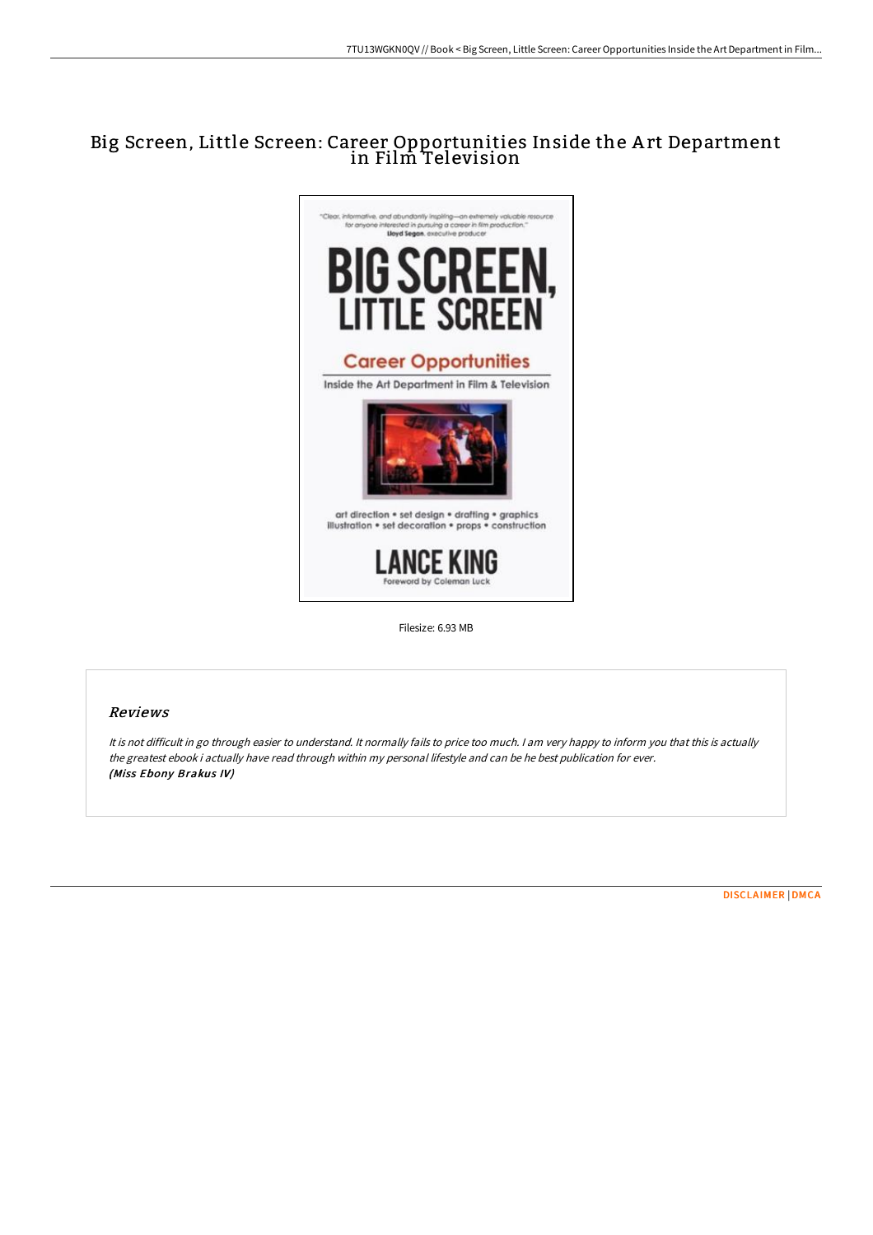# Big Screen, Little Screen: Career Opportunities Inside the A rt Department in Film Television



Filesize: 6.93 MB

# Reviews

It is not difficult in go through easier to understand. It normally fails to price too much. <sup>I</sup> am very happy to inform you that this is actually the greatest ebook i actually have read through within my personal lifestyle and can be he best publication for ever. (Miss Ebony Brakus IV)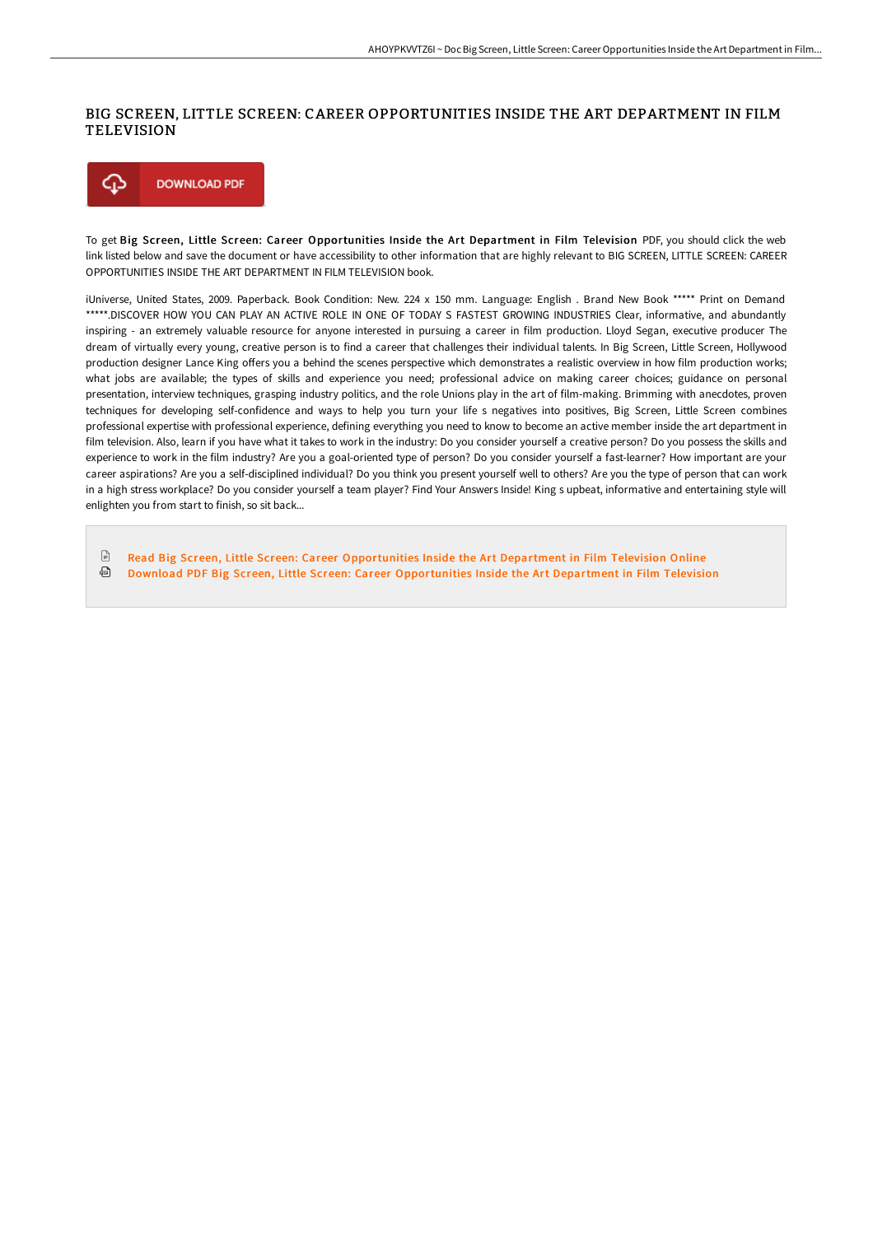### BIG SCREEN, LITTLE SCREEN: CAREER OPPORTUNITIES INSIDE THE ART DEPARTMENT IN FILM TELEVISION



To get Big Screen, Little Screen: Career Opportunities Inside the Art Department in Film Television PDF, you should click the web link listed below and save the document or have accessibility to other information that are highly relevant to BIG SCREEN, LITTLE SCREEN: CAREER OPPORTUNITIES INSIDE THE ART DEPARTMENT IN FILM TELEVISION book.

iUniverse, United States, 2009. Paperback. Book Condition: New. 224 x 150 mm. Language: English . Brand New Book \*\*\*\*\* Print on Demand \*\*\*\*\*.DISCOVER HOW YOU CAN PLAY AN ACTIVE ROLE IN ONE OF TODAY S FASTEST GROWING INDUSTRIES Clear, informative, and abundantly inspiring - an extremely valuable resource for anyone interested in pursuing a career in film production. Lloyd Segan, executive producer The dream of virtually every young, creative person is to find a career that challenges their individual talents. In Big Screen, Little Screen, Hollywood production designer Lance King offers you a behind the scenes perspective which demonstrates a realistic overview in how film production works; what jobs are available; the types of skills and experience you need; professional advice on making career choices; guidance on personal presentation, interview techniques, grasping industry politics, and the role Unions play in the art of film-making. Brimming with anecdotes, proven techniques for developing self-confidence and ways to help you turn your life s negatives into positives, Big Screen, Little Screen combines professional expertise with professional experience, defining everything you need to know to become an active member inside the art department in film television. Also, learn if you have what it takes to work in the industry: Do you consider yourself a creative person? Do you possess the skills and experience to work in the film industry? Are you a goal-oriented type of person? Do you consider yourself a fast-learner? How important are your career aspirations? Are you a self-disciplined individual? Do you think you present yourself well to others? Are you the type of person that can work in a high stress workplace? Do you consider yourself a team player? Find Your Answers Inside! King s upbeat, informative and entertaining style will enlighten you from start to finish, so sit back...

 $\mathbb{R}$ Read Big Screen, Little Screen: Career [Opportunities](http://techno-pub.tech/big-screen-little-screen-career-opportunities-in-1.html) Inside the Art Department in Film Television Online ⊕ Download PDF Big Screen, Little Screen: Career [Opportunities](http://techno-pub.tech/big-screen-little-screen-career-opportunities-in-1.html) Inside the Art Department in Film Television